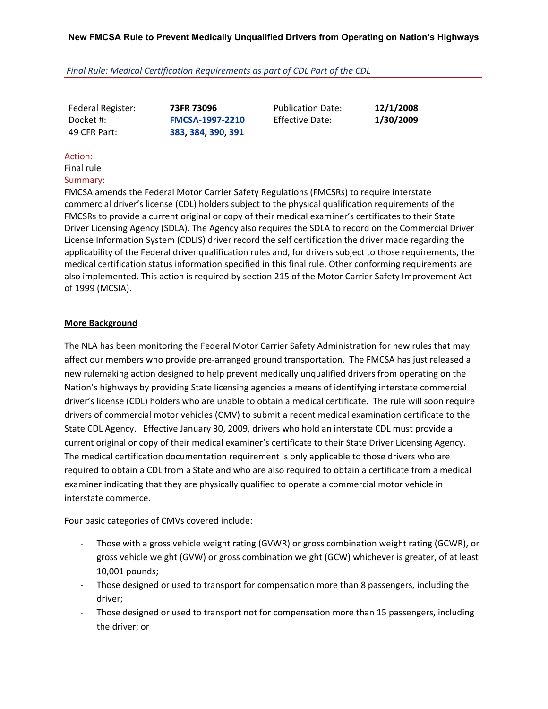## *Final Rule: Medical Certification Requirements as part of CDL Part of the CDL*

Federal Register: **73FR 73096**

Docket #: **FMCSA‐1997‐2210** 49 CFR Part: **383, 384, 390, 391**

Publication Date: **12/1/2008** Effective Date: **1/30/2009**

## Action:

Final rule Summary:

FMCSA amends the Federal Motor Carrier Safety Regulations (FMCSRs) to require interstate commercial driver's license (CDL) holders subject to the physical qualification requirements of the FMCSRs to provide a current original or copy of their medical examiner's certificates to their State Driver Licensing Agency (SDLA). The Agency also requires the SDLA to record on the Commercial Driver License Information System (CDLIS) driver record the self certification the driver made regarding the applicability of the Federal driver qualification rules and, for drivers subject to those requirements, the medical certification status information specified in this final rule. Other conforming requirements are also implemented. This action is required by section 215 of the Motor Carrier Safety Improvement Act of 1999 (MCSIA).

## **More Background**

The NLA has been monitoring the Federal Motor Carrier Safety Administration for new rules that may affect our members who provide pre‐arranged ground transportation. The FMCSA has just released a new rulemaking action designed to help prevent medically unqualified drivers from operating on the Nation's highways by providing State licensing agencies a means of identifying interstate commercial driver's license (CDL) holders who are unable to obtain a medical certificate. The rule will soon require drivers of commercial motor vehicles (CMV) to submit a recent medical examination certificate to the State CDL Agency. Effective January 30, 2009, drivers who hold an interstate CDL must provide a current original or copy of their medical examiner's certificate to their State Driver Licensing Agency. The medical certification documentation requirement is only applicable to those drivers who are required to obtain a CDL from a State and who are also required to obtain a certificate from a medical examiner indicating that they are physically qualified to operate a commercial motor vehicle in interstate commerce.

Four basic categories of CMVs covered include:

- ‐ Those with a gross vehicle weight rating (GVWR) or gross combination weight rating (GCWR), or gross vehicle weight (GVW) or gross combination weight (GCW) whichever is greater, of at least 10,001 pounds;
- ‐ Those designed or used to transport for compensation more than 8 passengers, including the driver;
- ‐ Those designed or used to transport not for compensation more than 15 passengers, including the driver; or